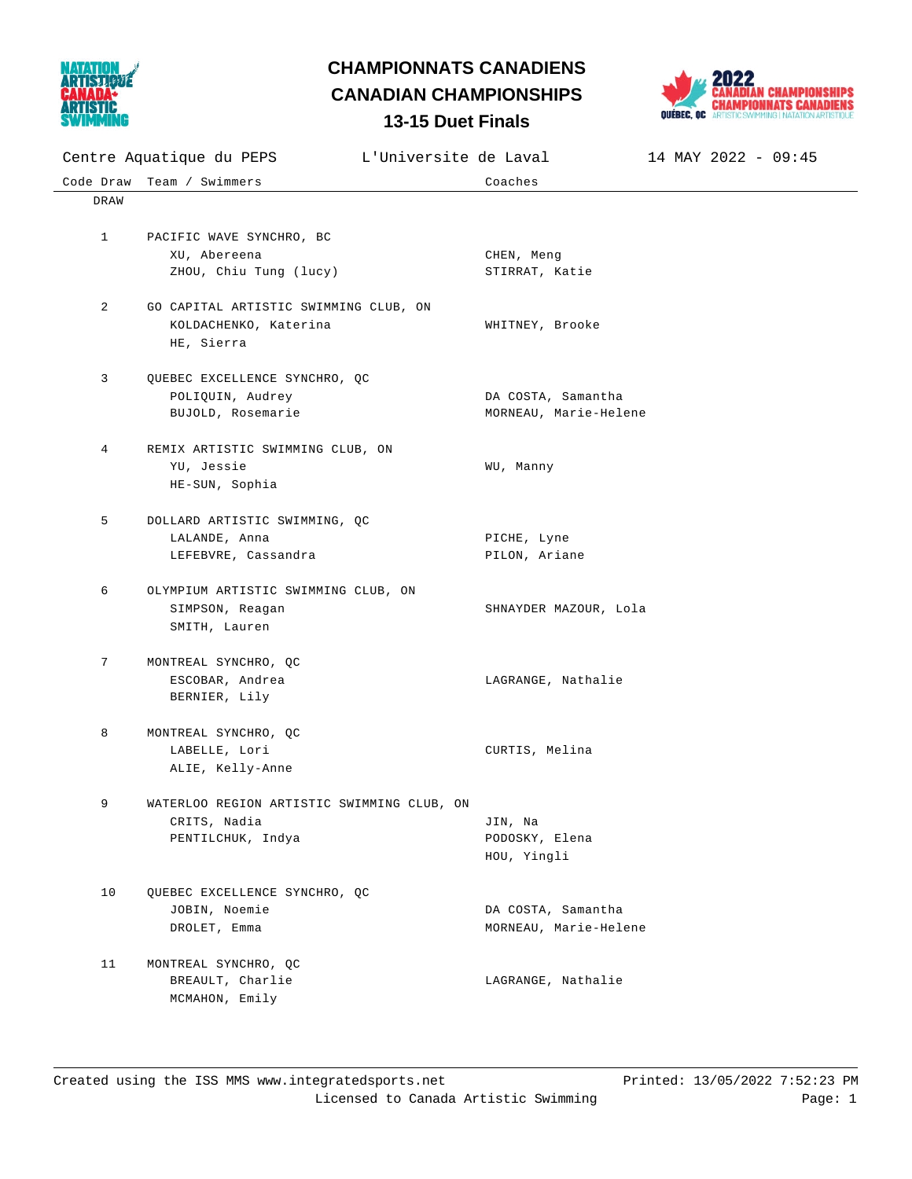

## **13-15 Duet Finals CHAMPIONNATS CANADIENS CANADIAN CHAMPIONSHIPS**



| 19 <b>PWVL 1 111010</b>                           |                                            |                       |                     |
|---------------------------------------------------|--------------------------------------------|-----------------------|---------------------|
| Centre Aquatique du PEPS<br>L'Universite de Laval |                                            |                       | 14 MAY 2022 - 09:45 |
|                                                   | Code Draw Team / Swimmers                  | Coaches               |                     |
| DRAW                                              |                                            |                       |                     |
|                                                   |                                            |                       |                     |
| $\mathbf{1}$                                      | PACIFIC WAVE SYNCHRO, BC                   |                       |                     |
|                                                   | XU, Abereena                               | CHEN, Meng            |                     |
|                                                   | ZHOU, Chiu Tung (lucy)                     | STIRRAT, Katie        |                     |
|                                                   |                                            |                       |                     |
| 2                                                 | GO CAPITAL ARTISTIC SWIMMING CLUB, ON      |                       |                     |
|                                                   | KOLDACHENKO, Katerina                      | WHITNEY, Brooke       |                     |
|                                                   | HE, Sierra                                 |                       |                     |
| 3                                                 | QUEBEC EXCELLENCE SYNCHRO, QC              |                       |                     |
|                                                   | POLIQUIN, Audrey                           | DA COSTA, Samantha    |                     |
|                                                   | BUJOLD, Rosemarie                          | MORNEAU, Marie-Helene |                     |
|                                                   |                                            |                       |                     |
| 4                                                 | REMIX ARTISTIC SWIMMING CLUB, ON           |                       |                     |
|                                                   | YU, Jessie                                 | WU, Manny             |                     |
|                                                   | HE-SUN, Sophia                             |                       |                     |
|                                                   |                                            |                       |                     |
| 5                                                 | DOLLARD ARTISTIC SWIMMING, QC              |                       |                     |
|                                                   | LALANDE, Anna                              | PICHE, Lyne           |                     |
|                                                   | LEFEBVRE, Cassandra                        | PILON, Ariane         |                     |
| 6                                                 | OLYMPIUM ARTISTIC SWIMMING CLUB, ON        |                       |                     |
|                                                   | SIMPSON, Reagan                            | SHNAYDER MAZOUR, Lola |                     |
|                                                   | SMITH, Lauren                              |                       |                     |
|                                                   |                                            |                       |                     |
| 7                                                 | MONTREAL SYNCHRO, QC                       |                       |                     |
|                                                   | ESCOBAR, Andrea                            | LAGRANGE, Nathalie    |                     |
|                                                   | BERNIER, Lily                              |                       |                     |
| 8                                                 | MONTREAL SYNCHRO, QC                       |                       |                     |
|                                                   | LABELLE, Lori                              | CURTIS, Melina        |                     |
|                                                   | ALIE, Kelly-Anne                           |                       |                     |
|                                                   |                                            |                       |                     |
| 9                                                 | WATERLOO REGION ARTISTIC SWIMMING CLUB, ON |                       |                     |
|                                                   | CRITS, Nadia                               | JIN, Na               |                     |
|                                                   | PENTILCHUK, Indya                          | PODOSKY, Elena        |                     |
|                                                   |                                            | HOU, Yingli           |                     |
|                                                   |                                            |                       |                     |
| 10                                                | QUEBEC EXCELLENCE SYNCHRO, QC              |                       |                     |
|                                                   | JOBIN, Noemie                              | DA COSTA, Samantha    |                     |
|                                                   | DROLET, Emma                               | MORNEAU, Marie-Helene |                     |
|                                                   |                                            |                       |                     |
| 11                                                | MONTREAL SYNCHRO, QC                       |                       |                     |
|                                                   | BREAULT, Charlie                           | LAGRANGE, Nathalie    |                     |
|                                                   | MCMAHON, Emily                             |                       |                     |